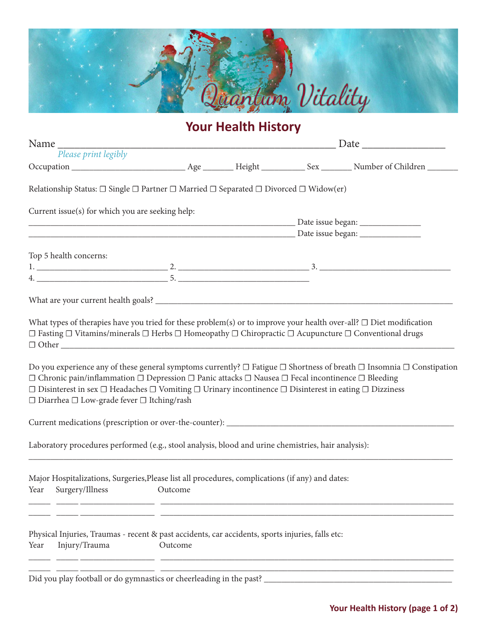

# **Your Health History**

| Please print legibly                                                                                                                                                                                                                                                                                                                                                                                                                                                              |  |  |  |  |
|-----------------------------------------------------------------------------------------------------------------------------------------------------------------------------------------------------------------------------------------------------------------------------------------------------------------------------------------------------------------------------------------------------------------------------------------------------------------------------------|--|--|--|--|
|                                                                                                                                                                                                                                                                                                                                                                                                                                                                                   |  |  |  |  |
| Relationship Status: $\Box$ Single $\Box$ Partner $\Box$ Married $\Box$ Separated $\Box$ Divorced $\Box$ Widow(er)                                                                                                                                                                                                                                                                                                                                                                |  |  |  |  |
| Current issue(s) for which you are seeking help:                                                                                                                                                                                                                                                                                                                                                                                                                                  |  |  |  |  |
|                                                                                                                                                                                                                                                                                                                                                                                                                                                                                   |  |  |  |  |
|                                                                                                                                                                                                                                                                                                                                                                                                                                                                                   |  |  |  |  |
| Top 5 health concerns:                                                                                                                                                                                                                                                                                                                                                                                                                                                            |  |  |  |  |
|                                                                                                                                                                                                                                                                                                                                                                                                                                                                                   |  |  |  |  |
|                                                                                                                                                                                                                                                                                                                                                                                                                                                                                   |  |  |  |  |
| What types of therapies have you tried for these problem(s) or to improve your health over-all? $\Box$ Diet modification<br>$\Box$ Fasting $\Box$ Vitamins/minerals $\Box$ Herbs $\Box$ Homeopathy $\Box$ Chiropractic $\Box$ Acupuncture $\Box$ Conventional drugs                                                                                                                                                                                                               |  |  |  |  |
| Do you experience any of these general symptoms currently? $\Box$ Fatigue $\Box$ Shortness of breath $\Box$ Insomnia $\Box$ Constipation<br>$\Box$ Chronic pain/inflammation $\Box$ Depression $\Box$ Panic attacks $\Box$ Nausea $\Box$ Fecal incontinence $\Box$ Bleeding<br>$\Box$ Disinterest in sex $\Box$ Headaches $\Box$ Vomiting $\Box$ Urinary incontinence $\Box$ Disinterest in eating $\Box$ Dizziness<br>$\Box$ Diarrhea $\Box$ Low-grade fever $\Box$ Itching/rash |  |  |  |  |
|                                                                                                                                                                                                                                                                                                                                                                                                                                                                                   |  |  |  |  |
| Laboratory procedures performed (e.g., stool analysis, blood and urine chemistries, hair analysis):                                                                                                                                                                                                                                                                                                                                                                               |  |  |  |  |
| Major Hospitalizations, Surgeries, Please list all procedures, complications (if any) and dates:<br>Surgery/Illness<br>Year<br>Outcome                                                                                                                                                                                                                                                                                                                                            |  |  |  |  |
| Physical Injuries, Traumas - recent & past accidents, car accidents, sports injuries, falls etc:                                                                                                                                                                                                                                                                                                                                                                                  |  |  |  |  |

Did you play football or do gymnastics or cheerleading in the past?  $\_$